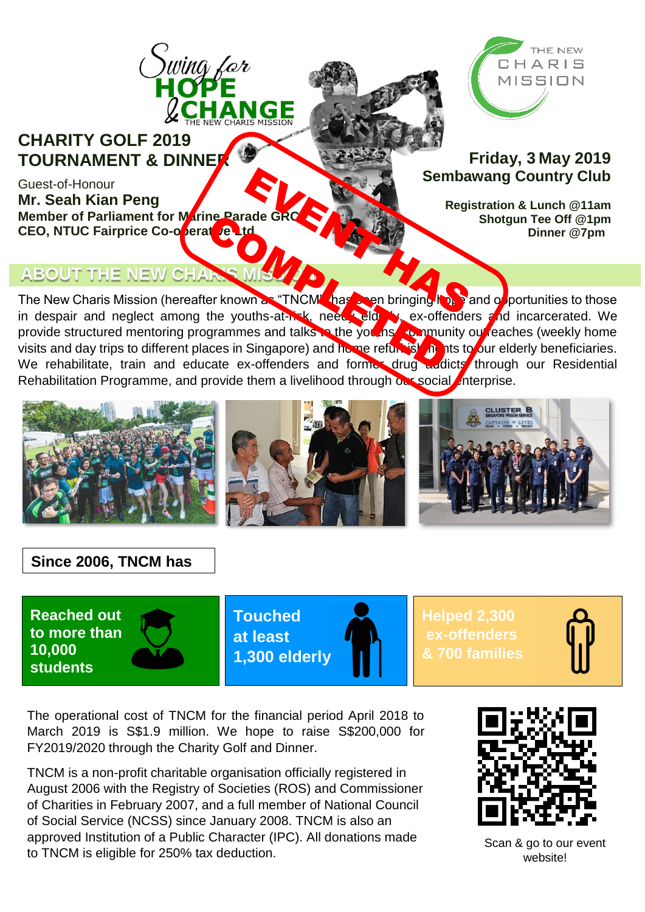



**Friday, 3 May 2019 Sembawang Country Club**

> **Registration & Lunch @11am Shotgun Tee Off @1pm Dinner @7pm**

# **CEO, NTUC Fairprice Co-operative Ltd**

**Member of Parliament for Marine Parade GR** 

**TOURNAMENT & DINNER**

Guest-of-Honour

**Mr. Seah Kian Peng**

### **ABOUT THE NEW CHARS MISSION**

The New Charis Mission (hereafter known as "TNCM" has sen bringing hope and opportunities to those in despair and neglect among the youths-at-risk, need, elderly, ex-offenders and incarcerated. We provide structured mentoring programmes and talks to the you hs community ou reaches (weekly home provide on dotated montening programmes and take to no yearing to mainly be redered (weblity home<br>visits and day trips to different places in Singapore) and home refurbishing the our elderly beneficiaries. We rehabilitate, train and educate ex-offenders and former drug addicts through our Residential Rehabilitation Programme, and provide them a livelihood through our social enterprise.



### **Since 2006, TNCM has**

**Reached out to more than 10,000 students**



**Touched at least 1,300 elderly**

**Helped 2,300 ex-offenders & 700 families**



The operational cost of TNCM for the financial period April 2018 to March 2019 is S\$1.9 million. We hope to raise S\$200,000 for FY2019/2020 through the Charity Golf and Dinner.

 to TNCM is eligible for 250% tax deduction. TNCM is a non-profit charitable organisation officially registered in August 2006 with the Registry of Societies (ROS) and Commissioner of Charities in February 2007, and a full member of National Council of Social Service (NCSS) since January 2008. TNCM is also an approved Institution of a Public Character (IPC). All donations made



Scan & go to our event website!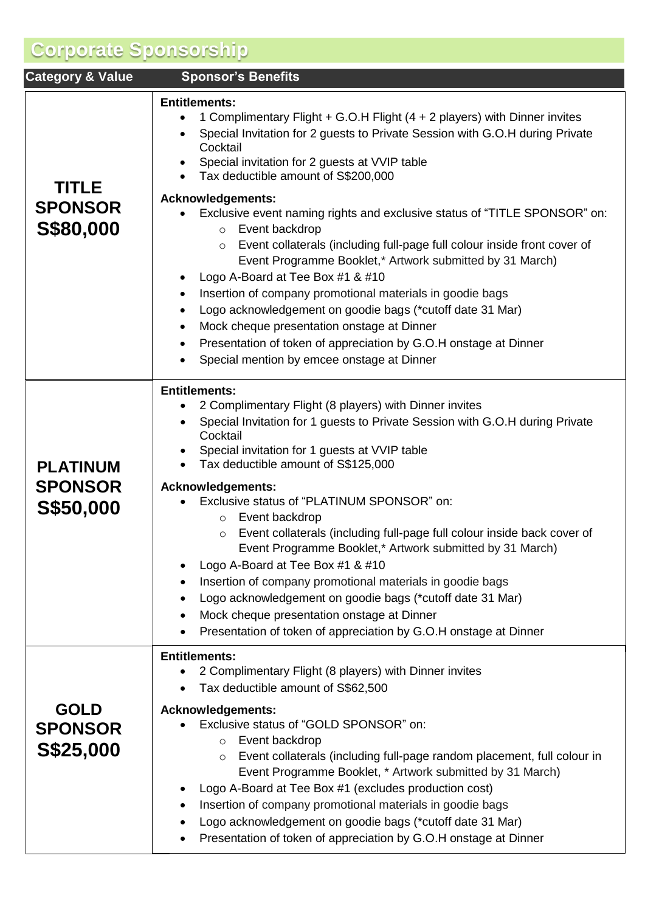## **Corporate Sponsorship**

| <b>Category &amp; Value</b>                           | <b>Sponsor's Benefits</b>                                                                                                                                                                                                                                                                                                                                                                                                                                                                                                                                                                                                                                                                                                                                                                                                             |  |  |  |  |
|-------------------------------------------------------|---------------------------------------------------------------------------------------------------------------------------------------------------------------------------------------------------------------------------------------------------------------------------------------------------------------------------------------------------------------------------------------------------------------------------------------------------------------------------------------------------------------------------------------------------------------------------------------------------------------------------------------------------------------------------------------------------------------------------------------------------------------------------------------------------------------------------------------|--|--|--|--|
| <b>TITLE</b>                                          | <b>Entitlements:</b><br>1 Complimentary Flight + G.O.H Flight (4 + 2 players) with Dinner invites<br>Special Invitation for 2 guests to Private Session with G.O.H during Private<br>Cocktail<br>Special invitation for 2 guests at VVIP table<br>Tax deductible amount of S\$200,000                                                                                                                                                                                                                                                                                                                                                                                                                                                                                                                                                 |  |  |  |  |
| <b>SPONSOR</b><br>S\$80,000                           | <b>Acknowledgements:</b><br>Exclusive event naming rights and exclusive status of "TITLE SPONSOR" on:<br>Event backdrop<br>$\circ$<br>Event collaterals (including full-page full colour inside front cover of<br>$\circ$<br>Event Programme Booklet,* Artwork submitted by 31 March)<br>Logo A-Board at Tee Box #1 & #10<br>Insertion of company promotional materials in goodie bags<br>٠<br>Logo acknowledgement on goodie bags (*cutoff date 31 Mar)<br>$\bullet$<br>Mock cheque presentation onstage at Dinner<br>٠<br>Presentation of token of appreciation by G.O.H onstage at Dinner<br>Special mention by emcee onstage at Dinner                                                                                                                                                                                            |  |  |  |  |
| <b>PLATINUM</b><br><b>SPONSOR</b><br><b>S\$50,000</b> | <b>Entitlements:</b><br>2 Complimentary Flight (8 players) with Dinner invites<br>Special Invitation for 1 guests to Private Session with G.O.H during Private<br>Cocktail<br>Special invitation for 1 guests at VVIP table<br>Tax deductible amount of S\$125,000<br>$\bullet$<br><b>Acknowledgements:</b><br>Exclusive status of "PLATINUM SPONSOR" on:<br>Event backdrop<br>$\circ$<br>Event collaterals (including full-page full colour inside back cover of<br>$\circ$<br>Event Programme Booklet,* Artwork submitted by 31 March)<br>Logo A-Board at Tee Box #1 & #10<br>Insertion of company promotional materials in goodie bags<br>Logo acknowledgement on goodie bags (*cutoff date 31 Mar)<br>Mock cheque presentation onstage at Dinner<br>$\bullet$<br>Presentation of token of appreciation by G.O.H onstage at Dinner |  |  |  |  |
| <b>GOLD</b><br><b>SPONSOR</b><br>S\$25,000            | <b>Entitlements:</b><br>2 Complimentary Flight (8 players) with Dinner invites<br>Tax deductible amount of S\$62,500<br><b>Acknowledgements:</b><br>Exclusive status of "GOLD SPONSOR" on:<br>Event backdrop<br>$\circ$<br>Event collaterals (including full-page random placement, full colour in<br>$\circ$<br>Event Programme Booklet, * Artwork submitted by 31 March)<br>Logo A-Board at Tee Box #1 (excludes production cost)<br>Insertion of company promotional materials in goodie bags<br>Logo acknowledgement on goodie bags (*cutoff date 31 Mar)<br>$\bullet$<br>Presentation of token of appreciation by G.O.H onstage at Dinner                                                                                                                                                                                        |  |  |  |  |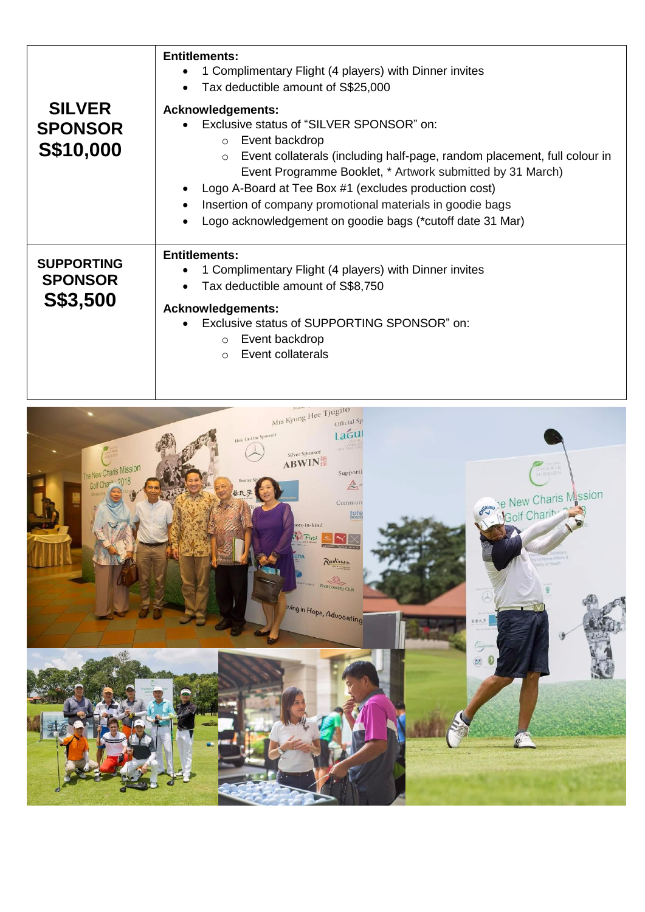| <b>SILVER</b><br><b>SPONSOR</b><br>S\$10,000    | <b>Entitlements:</b><br>1 Complimentary Flight (4 players) with Dinner invites<br>Tax deductible amount of S\$25,000<br>$\bullet$<br><b>Acknowledgements:</b><br>Exclusive status of "SILVER SPONSOR" on:<br>Event backdrop<br>$\circ$<br>Event collaterals (including half-page, random placement, full colour in<br>$\circ$<br>Event Programme Booklet, * Artwork submitted by 31 March)<br>Logo A-Board at Tee Box #1 (excludes production cost)<br>Insertion of company promotional materials in goodie bags<br>$\bullet$<br>Logo acknowledgement on goodie bags (*cutoff date 31 Mar) |
|-------------------------------------------------|--------------------------------------------------------------------------------------------------------------------------------------------------------------------------------------------------------------------------------------------------------------------------------------------------------------------------------------------------------------------------------------------------------------------------------------------------------------------------------------------------------------------------------------------------------------------------------------------|
| <b>SUPPORTING</b><br><b>SPONSOR</b><br>S\$3,500 | <b>Entitlements:</b><br>1 Complimentary Flight (4 players) with Dinner invites<br>Tax deductible amount of S\$8,750<br><b>Acknowledgements:</b><br>Exclusive status of SUPPORTING SPONSOR" on:<br>Event backdrop<br>$\circ$<br>Event collaterals<br>$\circ$                                                                                                                                                                                                                                                                                                                                |

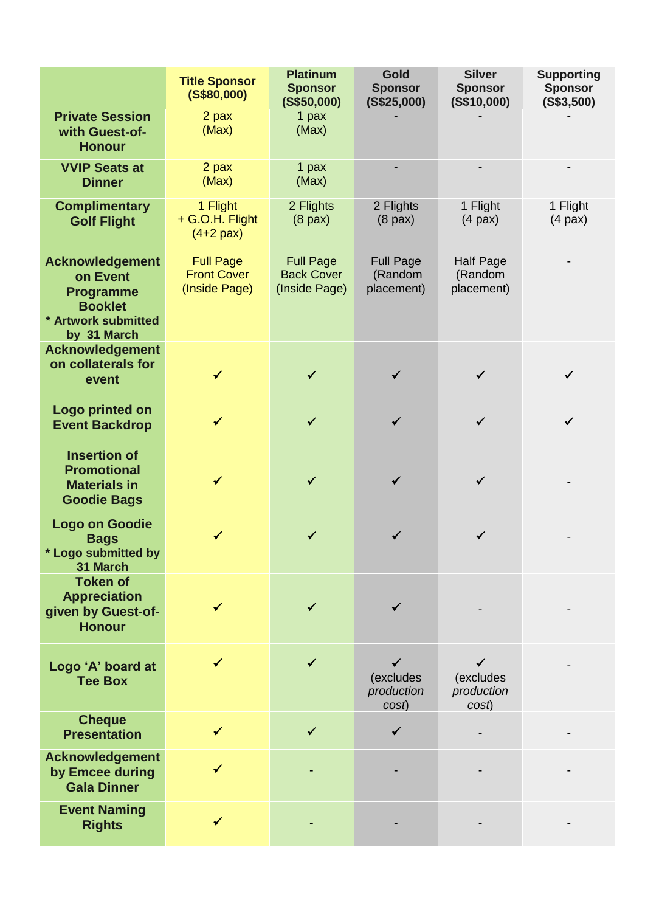|                                                                                                                | <b>Title Sponsor</b><br>(S\$80,000)                     | <b>Platinum</b><br><b>Sponsor</b><br>(S\$50,000)       | <b>Gold</b><br><b>Sponsor</b><br>(S\$25,000) | <b>Silver</b><br><b>Sponsor</b><br>(S\$10,000) | <b>Supporting</b><br><b>Sponsor</b><br>(S\$3,500) |
|----------------------------------------------------------------------------------------------------------------|---------------------------------------------------------|--------------------------------------------------------|----------------------------------------------|------------------------------------------------|---------------------------------------------------|
| <b>Private Session</b><br>with Guest-of-<br><b>Honour</b>                                                      | 2 pax<br>(Max)                                          | 1 pax<br>(Max)                                         |                                              |                                                |                                                   |
| <b>VVIP Seats at</b><br><b>Dinner</b>                                                                          | 2 pax<br>(Max)                                          | 1 pax<br>(Max)                                         |                                              |                                                |                                                   |
| <b>Complimentary</b><br><b>Golf Flight</b>                                                                     | 1 Flight<br>+ G.O.H. Flight<br>$(4+2$ pax)              | 2 Flights<br>$(8$ pax)                                 | 2 Flights<br>$(8$ pax)                       | 1 Flight<br>$(4$ pax $)$                       | 1 Flight<br>$(4$ pax $)$                          |
| <b>Acknowledgement</b><br>on Event<br><b>Programme</b><br><b>Booklet</b><br>* Artwork submitted<br>by 31 March | <b>Full Page</b><br><b>Front Cover</b><br>(Inside Page) | <b>Full Page</b><br><b>Back Cover</b><br>(Inside Page) | <b>Full Page</b><br>(Random<br>placement)    | <b>Half Page</b><br>(Random<br>placement)      |                                                   |
| <b>Acknowledgement</b><br>on collaterals for<br>event                                                          | $\checkmark$                                            | $\checkmark$                                           | $\checkmark$                                 | $\checkmark$                                   | $\checkmark$                                      |
| Logo printed on<br><b>Event Backdrop</b>                                                                       | $\checkmark$                                            | ✓                                                      | $\checkmark$                                 | $\checkmark$                                   | $\checkmark$                                      |
| <b>Insertion of</b><br><b>Promotional</b><br><b>Materials in</b><br><b>Goodie Bags</b>                         |                                                         |                                                        |                                              | ✓                                              |                                                   |
| <b>Logo on Goodie</b><br><b>Bags</b><br>*<br><b>Logo submitted by</b><br>31 March                              | $\checkmark$                                            | ✔                                                      |                                              | ✓                                              |                                                   |
| <b>Token of</b><br><b>Appreciation</b><br>given by Guest-of-<br><b>Honour</b>                                  | ✓                                                       | ✓                                                      |                                              |                                                |                                                   |
| Logo 'A' board at<br><b>Tee Box</b>                                                                            |                                                         |                                                        | ✓<br>(excludes<br>production<br>cost)        | (excludes<br>production<br>cost)               |                                                   |
| <b>Cheque</b><br><b>Presentation</b>                                                                           | $\checkmark$                                            | ✓                                                      | $\checkmark$                                 |                                                |                                                   |
| <b>Acknowledgement</b><br>by Emcee during<br><b>Gala Dinner</b>                                                | ✓                                                       |                                                        |                                              |                                                |                                                   |
| <b>Event Naming</b><br><b>Rights</b>                                                                           | $\checkmark$                                            |                                                        |                                              |                                                |                                                   |